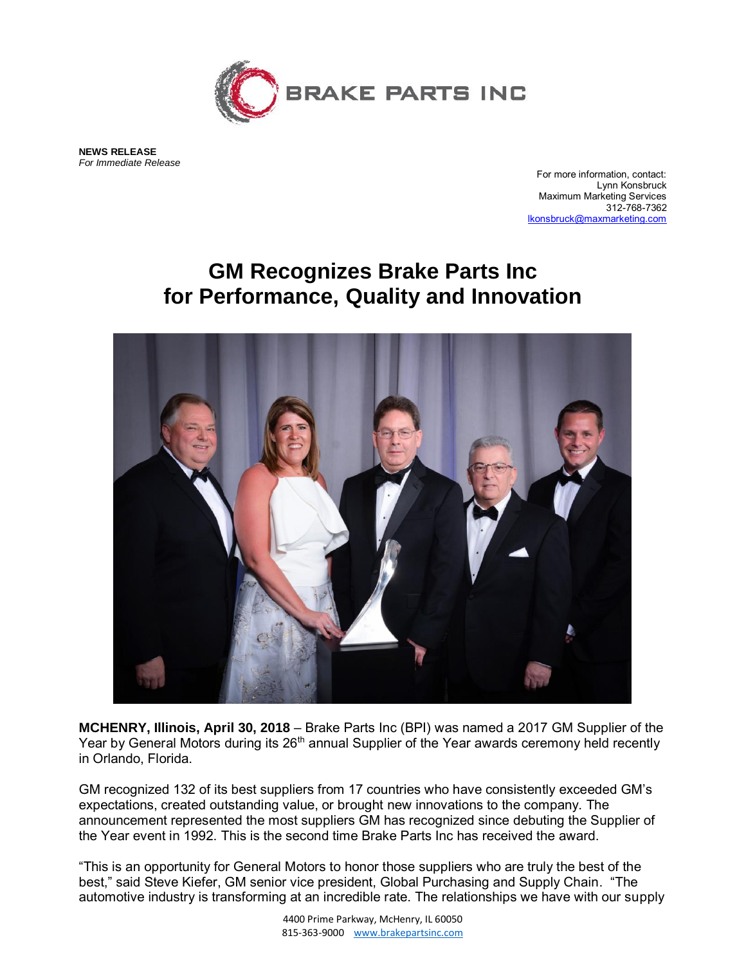

**NEWS RELEASE** *For Immediate Release*

For more information, contact: Lynn Konsbruck Maximum Marketing Services 312-768-7362 [lkonsbruck@maxmarketing.com](mailto:lkonsbruck@maxmarketing.com)

## **GM Recognizes Brake Parts Inc for Performance, Quality and Innovation**



**MCHENRY, Illinois, April 30, 2018** – Brake Parts Inc (BPI) was named a 2017 GM Supplier of the Year by General Motors during its 26<sup>th</sup> annual Supplier of the Year awards ceremony held recently in Orlando, Florida.

GM recognized 132 of its best suppliers from 17 countries who have consistently exceeded GM's expectations, created outstanding value, or brought new innovations to the company. The announcement represented the most suppliers GM has recognized since debuting the Supplier of the Year event in 1992. This is the second time Brake Parts Inc has received the award.

"This is an opportunity for General Motors to honor those suppliers who are truly the best of the best," said Steve Kiefer, GM senior vice president, Global Purchasing and Supply Chain. "The automotive industry is transforming at an incredible rate. The relationships we have with our supply